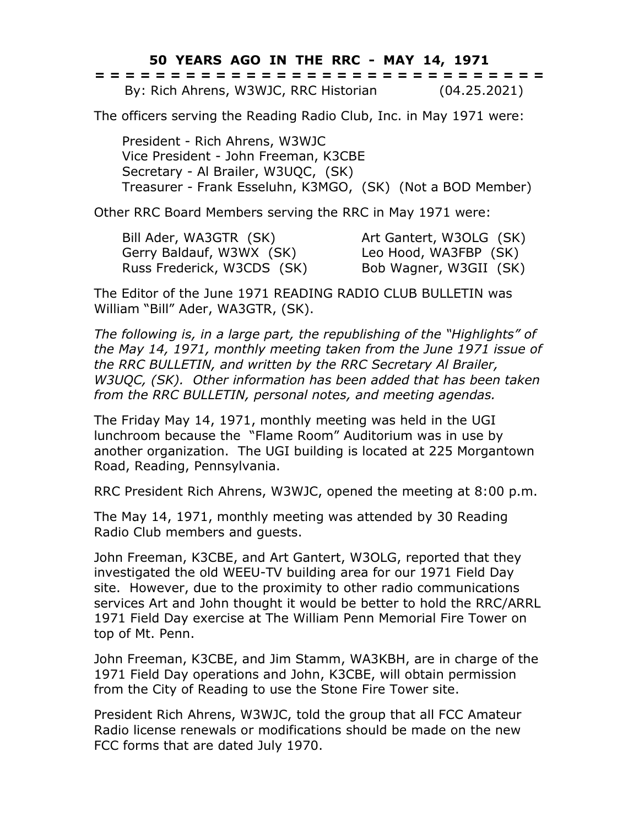**50 YEARS AGO IN THE RRC - MAY 14, 1971**

|  | ------------------------------<br>------------------------------ |  |  |  |  |  |  |  |  |  |  |  |  |              |  |
|--|------------------------------------------------------------------|--|--|--|--|--|--|--|--|--|--|--|--|--------------|--|
|  | By: Rich Ahrens, W3WJC, RRC Historian                            |  |  |  |  |  |  |  |  |  |  |  |  | (04.25.2021) |  |

The officers serving the Reading Radio Club, Inc. in May 1971 were:

President - Rich Ahrens, W3WJC Vice President - John Freeman, K3CBE Secretary - Al Brailer, W3UQC, (SK) Treasurer - Frank Esseluhn, K3MGO, (SK) (Not a BOD Member)

Other RRC Board Members serving the RRC in May 1971 were:

Bill Ader, WA3GTR (SK) Art Gantert, W3OLG (SK) Gerry Baldauf, W3WX (SK) Leo Hood, WA3FBP (SK) Russ Frederick, W3CDS (SK) Bob Wagner, W3GII (SK)

The Editor of the June 1971 READING RADIO CLUB BULLETIN was William "Bill" Ader, WA3GTR, (SK).

*The following is, in a large part, the republishing of the "Highlights" of the May 14, 1971, monthly meeting taken from the June 1971 issue of the RRC BULLETIN, and written by the RRC Secretary Al Brailer, W3UQC, (SK). Other information has been added that has been taken from the RRC BULLETIN, personal notes, and meeting agendas.*

The Friday May 14, 1971, monthly meeting was held in the UGI lunchroom because the "Flame Room" Auditorium was in use by another organization. The UGI building is located at 225 Morgantown Road, Reading, Pennsylvania.

RRC President Rich Ahrens, W3WJC, opened the meeting at 8:00 p.m.

The May 14, 1971, monthly meeting was attended by 30 Reading Radio Club members and guests.

John Freeman, K3CBE, and Art Gantert, W3OLG, reported that they investigated the old WEEU-TV building area for our 1971 Field Day site. However, due to the proximity to other radio communications services Art and John thought it would be better to hold the RRC/ARRL 1971 Field Day exercise at The William Penn Memorial Fire Tower on top of Mt. Penn.

John Freeman, K3CBE, and Jim Stamm, WA3KBH, are in charge of the 1971 Field Day operations and John, K3CBE, will obtain permission from the City of Reading to use the Stone Fire Tower site.

President Rich Ahrens, W3WJC, told the group that all FCC Amateur Radio license renewals or modifications should be made on the new FCC forms that are dated July 1970.